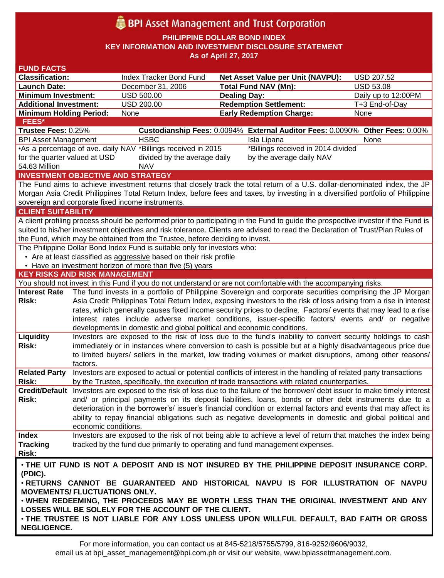# **BPI** Asset Management and Trust Corporation

**PHILIPPINE DOLLAR BOND INDEX**

**KEY INFORMATION AND INVESTMENT DISCLOSURE STATEMENT**

**As of April 27, 2017**

| <b>FUND FACTS</b>                                                                            |                                                                                                                                                                                                                            |                                                                              |                                                                                                                                    |                     |  |  |  |
|----------------------------------------------------------------------------------------------|----------------------------------------------------------------------------------------------------------------------------------------------------------------------------------------------------------------------------|------------------------------------------------------------------------------|------------------------------------------------------------------------------------------------------------------------------------|---------------------|--|--|--|
| <b>Classification:</b>                                                                       |                                                                                                                                                                                                                            | Index Tracker Bond Fund                                                      | <b>Net Asset Value per Unit (NAVPU):</b>                                                                                           | <b>USD 207.52</b>   |  |  |  |
| <b>Launch Date:</b>                                                                          |                                                                                                                                                                                                                            | December 31, 2006                                                            | <b>Total Fund NAV (Mn):</b>                                                                                                        | <b>USD 53.08</b>    |  |  |  |
| <b>Minimum Investment:</b>                                                                   |                                                                                                                                                                                                                            | <b>USD 500.00</b>                                                            | <b>Dealing Day:</b>                                                                                                                | Daily up to 12:00PM |  |  |  |
| <b>Additional Investment:</b>                                                                |                                                                                                                                                                                                                            | <b>USD 200.00</b>                                                            | <b>Redemption Settlement:</b>                                                                                                      | T+3 End-of-Day      |  |  |  |
| <b>Minimum Holding Period:</b>                                                               |                                                                                                                                                                                                                            | None                                                                         | <b>Early Redemption Charge:</b>                                                                                                    | None                |  |  |  |
| <b>FEES*</b>                                                                                 |                                                                                                                                                                                                                            |                                                                              |                                                                                                                                    |                     |  |  |  |
| Trustee Fees: 0.25%                                                                          |                                                                                                                                                                                                                            |                                                                              | Custodianship Fees: 0.0094% External Auditor Fees: 0.0090% Other Fees: 0.00%                                                       |                     |  |  |  |
| <b>BPI Asset Management</b>                                                                  |                                                                                                                                                                                                                            | <b>HSBC</b>                                                                  | Isla Lipana                                                                                                                        | None                |  |  |  |
|                                                                                              | •As a percentage of ave. daily NAV *Billings received in 2015<br>*Billings received in 2014 divided                                                                                                                        |                                                                              |                                                                                                                                    |                     |  |  |  |
| for the quarter valued at USD                                                                |                                                                                                                                                                                                                            | divided by the average daily                                                 | by the average daily NAV                                                                                                           |                     |  |  |  |
| 54.63 Million                                                                                |                                                                                                                                                                                                                            | <b>NAV</b>                                                                   |                                                                                                                                    |                     |  |  |  |
|                                                                                              |                                                                                                                                                                                                                            | <b>INVESTMENT OBJECTIVE AND STRATEGY</b>                                     |                                                                                                                                    |                     |  |  |  |
|                                                                                              |                                                                                                                                                                                                                            |                                                                              | The Fund aims to achieve investment returns that closely track the total return of a U.S. dollar-denominated index, the JP         |                     |  |  |  |
|                                                                                              |                                                                                                                                                                                                                            |                                                                              | Morgan Asia Credit Philippines Total Return Index, before fees and taxes, by investing in a diversified portfolio of Philippine    |                     |  |  |  |
|                                                                                              |                                                                                                                                                                                                                            | sovereign and corporate fixed income instruments.                            |                                                                                                                                    |                     |  |  |  |
| <b>CLIENT SUITABILITY</b>                                                                    |                                                                                                                                                                                                                            |                                                                              |                                                                                                                                    |                     |  |  |  |
|                                                                                              |                                                                                                                                                                                                                            |                                                                              | A client profiling process should be performed prior to participating in the Fund to guide the prospective investor if the Fund is |                     |  |  |  |
|                                                                                              |                                                                                                                                                                                                                            |                                                                              | suited to his/her investment objectives and risk tolerance. Clients are advised to read the Declaration of Trust/Plan Rules of     |                     |  |  |  |
|                                                                                              |                                                                                                                                                                                                                            | the Fund, which may be obtained from the Trustee, before deciding to invest. |                                                                                                                                    |                     |  |  |  |
|                                                                                              |                                                                                                                                                                                                                            | The Philippine Dollar Bond Index Fund is suitable only for investors who:    |                                                                                                                                    |                     |  |  |  |
|                                                                                              |                                                                                                                                                                                                                            | • Are at least classified as aggressive based on their risk profile          |                                                                                                                                    |                     |  |  |  |
|                                                                                              |                                                                                                                                                                                                                            | • Have an investment horizon of more than five (5) years                     |                                                                                                                                    |                     |  |  |  |
| <b>KEY RISKS AND RISK MANAGEMENT</b>                                                         |                                                                                                                                                                                                                            |                                                                              |                                                                                                                                    |                     |  |  |  |
|                                                                                              |                                                                                                                                                                                                                            |                                                                              | You should not invest in this Fund if you do not understand or are not comfortable with the accompanying risks.                    |                     |  |  |  |
| <b>Interest Rate</b>                                                                         |                                                                                                                                                                                                                            |                                                                              | The fund invests in a portfolio of Philippine Sovereign and corporate securities comprising the JP Morgan                          |                     |  |  |  |
| <b>Risk:</b>                                                                                 |                                                                                                                                                                                                                            |                                                                              | Asia Credit Philippines Total Return Index, exposing investors to the risk of loss arising from a rise in interest                 |                     |  |  |  |
|                                                                                              | rates, which generally causes fixed income security prices to decline. Factors/ events that may lead to a rise                                                                                                             |                                                                              |                                                                                                                                    |                     |  |  |  |
|                                                                                              |                                                                                                                                                                                                                            |                                                                              | interest rates include adverse market conditions, issuer-specific factors/ events and/ or negative                                 |                     |  |  |  |
|                                                                                              |                                                                                                                                                                                                                            | developments in domestic and global political and economic conditions.       |                                                                                                                                    |                     |  |  |  |
| Liquidity                                                                                    |                                                                                                                                                                                                                            |                                                                              | Investors are exposed to the risk of loss due to the fund's inability to convert security holdings to cash                         |                     |  |  |  |
| <b>Risk:</b>                                                                                 | immediately or in instances where conversion to cash is possible but at a highly disadvantageous price due                                                                                                                 |                                                                              |                                                                                                                                    |                     |  |  |  |
|                                                                                              |                                                                                                                                                                                                                            |                                                                              | to limited buyers/ sellers in the market, low trading volumes or market disruptions, among other reasons/                          |                     |  |  |  |
|                                                                                              | factors.                                                                                                                                                                                                                   |                                                                              |                                                                                                                                    |                     |  |  |  |
| <b>Related Party</b>                                                                         |                                                                                                                                                                                                                            |                                                                              | Investors are exposed to actual or potential conflicts of interest in the handling of related party transactions                   |                     |  |  |  |
| Risk:                                                                                        |                                                                                                                                                                                                                            |                                                                              | by the Trustee, specifically, the execution of trade transactions with related counterparties.                                     |                     |  |  |  |
|                                                                                              |                                                                                                                                                                                                                            |                                                                              | Credit/Default Investors are exposed to the risk of loss due to the failure of the borrower/ debt issuer to make timely interest   |                     |  |  |  |
| Risk:                                                                                        | and/ or principal payments on its deposit liabilities, loans, bonds or other debt instruments due to a<br>deterioration in the borrower's/ issuer's financial condition or external factors and events that may affect its |                                                                              |                                                                                                                                    |                     |  |  |  |
|                                                                                              |                                                                                                                                                                                                                            |                                                                              |                                                                                                                                    |                     |  |  |  |
|                                                                                              |                                                                                                                                                                                                                            |                                                                              | ability to repay financial obligations such as negative developments in domestic and global political and                          |                     |  |  |  |
|                                                                                              | economic conditions.                                                                                                                                                                                                       |                                                                              |                                                                                                                                    |                     |  |  |  |
| <b>Index</b>                                                                                 |                                                                                                                                                                                                                            |                                                                              | Investors are exposed to the risk of not being able to achieve a level of return that matches the index being                      |                     |  |  |  |
| <b>Tracking</b>                                                                              |                                                                                                                                                                                                                            |                                                                              | tracked by the fund due primarily to operating and fund management expenses.                                                       |                     |  |  |  |
| <b>Risk:</b>                                                                                 |                                                                                                                                                                                                                            |                                                                              |                                                                                                                                    |                     |  |  |  |
| . THE UIT FUND IS NOT A DEPOSIT AND IS NOT INSURED BY THE PHILIPPINE DEPOSIT INSURANCE CORP. |                                                                                                                                                                                                                            |                                                                              |                                                                                                                                    |                     |  |  |  |
| (PDIC).                                                                                      |                                                                                                                                                                                                                            |                                                                              |                                                                                                                                    |                     |  |  |  |
| . RETURNS CANNOT BE GUARANTEED AND HISTORICAL NAVPU IS FOR ILLUSTRATION OF NAVPU             |                                                                                                                                                                                                                            |                                                                              |                                                                                                                                    |                     |  |  |  |
| <b>MOVEMENTS/ FLUCTUATIONS ONLY.</b>                                                         |                                                                                                                                                                                                                            |                                                                              |                                                                                                                                    |                     |  |  |  |
|                                                                                              | . WHEN REDEEMING, THE PROCEEDS MAY BE WORTH LESS THAN THE ORIGINAL INVESTMENT AND ANY                                                                                                                                      |                                                                              |                                                                                                                                    |                     |  |  |  |
|                                                                                              |                                                                                                                                                                                                                            | LOSSES WILL BE SOLELY FOR THE ACCOUNT OF THE CLIENT.                         |                                                                                                                                    |                     |  |  |  |
|                                                                                              |                                                                                                                                                                                                                            |                                                                              | . THE TRUSTEE IS NOT LIABLE FOR ANY LOSS UNLESS UPON WILLFUL DEFAULT, BAD FAITH OR GROSS                                           |                     |  |  |  |
| <b>NEGLIGENCE.</b>                                                                           |                                                                                                                                                                                                                            |                                                                              |                                                                                                                                    |                     |  |  |  |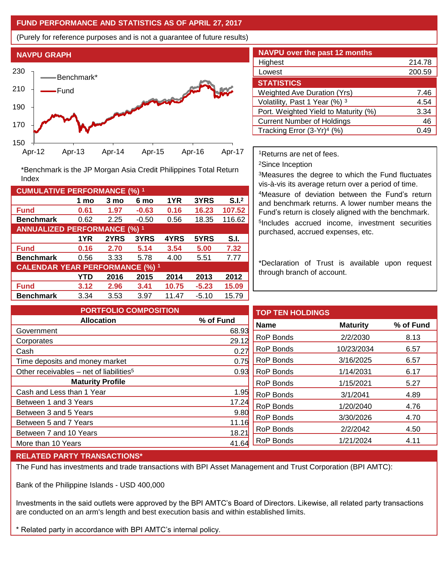### **FUND PERFORMANCE AND STATISTICS AS OF APRIL 27, 2017**

(Purely for reference purposes and is not a guarantee of future results)



**Fund 0.61 1.97 -0.63 0.16 16.23 107.52 Benchmark** 0.62 2.25 -0.50 0.56 18.35 116.62

\*Benchmark is the JP Morgan Asia Credit Philippines Total Return

**Fund 0.16 2.70 5.14 3.54 5.00 7.32 Benchmark** 0.56 3.33 5.78 4.00 5.51 7.77

**Fund 3.12 2.96 3.41 10.75 -5.23 15.09 Benchmark** 3.34 3.53 3.97 11.47 -5.10 15.79

**1 mo 3 mo 6 mo 1YR 3YRS S.I.<sup>2</sup>**

**1YR 2YRS 3YRS 4YRS 5YRS S.I.**

**YTD 2016 2015 2014 2013 2012**

| <b>NAVPU over the past 12 months</b>   |        |  |  |  |
|----------------------------------------|--------|--|--|--|
| Highest                                | 214.78 |  |  |  |
| Lowest                                 | 200.59 |  |  |  |
| <b>STATISTICS</b>                      |        |  |  |  |
| <b>Weighted Ave Duration (Yrs)</b>     | 7.46   |  |  |  |
| Volatility, Past 1 Year (%) 3          | 4.54   |  |  |  |
| Port. Weighted Yield to Maturity (%)   | 3.34   |  |  |  |
| <b>Current Number of Holdings</b>      | 46     |  |  |  |
| Tracking Error (3-Yr) <sup>4</sup> (%) | 0.49   |  |  |  |

<sup>1</sup>Returns are net of fees.

<sup>2</sup>Since Inception

<sup>3</sup>Measures the degree to which the Fund fluctuates vis-à-vis its average return over a period of time.

<sup>4</sup>Measure of deviation between the Fund's return and benchmark returns. A lower number means the Fund's return is closely aligned with the benchmark. 5 Includes accrued income, investment securities purchased, accrued expenses, etc.

\*Declaration of Trust is available upon request through branch of account.

| <b>PORTFOLIO COMPOSITION</b>                        |           | T) |
|-----------------------------------------------------|-----------|----|
| <b>Allocation</b>                                   | % of Fund | N  |
| Government                                          | 68.93     |    |
| Corporates                                          | 29.12     | R٥ |
| Cash                                                | 0.27      | R  |
| Time deposits and money market                      | 0.75      | R٥ |
| Other receivables – net of liabilities <sup>5</sup> | 0.93      | R٥ |
| <b>Maturity Profile</b>                             |           | R  |
| Cash and Less than 1 Year                           | 1.95      | R  |
| Between 1 and 3 Years                               | 17.24     | R  |
| Between 3 and 5 Years                               | 9.80      |    |
| Between 5 and 7 Years                               | 11.16     | R  |
| Between 7 and 10 Years                              | 18.21     | R٥ |
| More than 10 Years                                  | 41.64     | R  |

| <b>TOP TEN HOLDINGS</b> |                 |           |
|-------------------------|-----------------|-----------|
| <b>Name</b>             | <b>Maturity</b> | % of Fund |
| RoP Bonds               | 2/2/2030        | 8.13      |
| RoP Bonds               | 10/23/2034      | 6.57      |
| RoP Bonds               | 3/16/2025       | 6.57      |
| RoP Bonds               | 1/14/2031       | 6.17      |
| RoP Bonds               | 1/15/2021       | 5.27      |
| <b>RoP Bonds</b>        | 3/1/2041        | 4.89      |
| RoP Bonds               | 1/20/2040       | 4.76      |
| RoP Bonds               | 3/30/2026       | 4.70      |
| RoP Bonds               | 2/2/2042        | 4.50      |
| <b>RoP Bonds</b>        | 1/21/2024       | 4.11      |

#### **RELATED PARTY TRANSACTIONS\***

**CUMULATIVE PERFORMANCE (%) <sup>1</sup>**

Index

**ANNUALIZED PERFORMANCE (%) <sup>1</sup>**

**CALENDAR YEAR PERFORMANCE (%) <sup>1</sup>**

The Fund has investments and trade transactions with BPI Asset Management and Trust Corporation (BPI AMTC):

Bank of the Philippine Islands - USD 400,000

Investments in the said outlets were approved by the BPI AMTC's Board of Directors. Likewise, all related party transactions are conducted on an arm's length and best execution basis and within established limits.

\* Related party in accordance with BPI AMTC's internal policy.